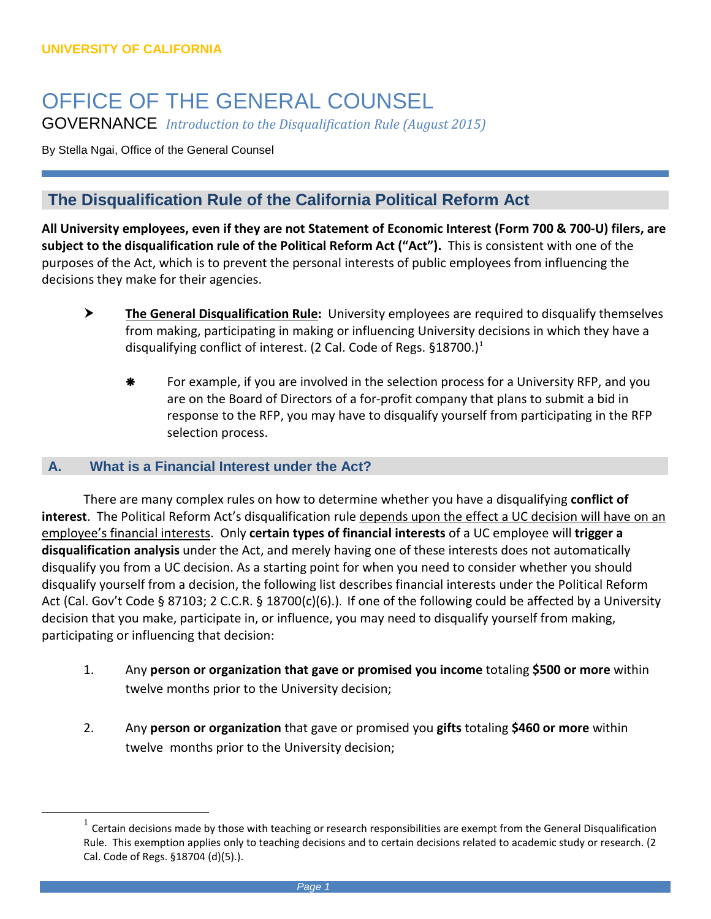## OFFICE OF THE GENERAL COUNSEL GOVERNANCE *Introduction to the Disqualification Rule (August 2015)*

By Stella Ngai, Office of the General Counsel

## **The Disqualification Rule of the California Political Reform Act**

**All University employees, even if they are not Statement of Economic Interest (Form 700 & 700-U) filers, are subject to the disqualification rule of the Political Reform Act ("Act").** This is consistent with one of the purposes of the Act, which is to prevent the personal interests of public employees from influencing the decisions they make for their agencies.

- **The General Disqualification Rule:** University employees are required to disqualify themselves from making, participating in making or influencing University decisions in which they have a disqualifying conflict of interest. (2 Cal. Code of Regs.  $\S 18700$  $\S 18700$  $\S 18700$ .)<sup>1</sup>
	- **\*** For example, if you are involved in the selection process for a University RFP, and you are on the Board of Directors of a for-profit company that plans to submit a bid in response to the RFP, you may have to disqualify yourself from participating in the RFP selection process.

## **A. What is a Financial Interest under the Act?**

<span id="page-0-0"></span> $\overline{a}$ 

There are many complex rules on how to determine whether you have a disqualifying **conflict of interest**. The Political Reform Act's disqualification rule depends upon the effect a UC decision will have on an employee's financial interests. Only **certain types of financial interests** of a UC employee will **trigger a disqualification analysis** under the Act, and merely having one of these interests does not automatically disqualify you from a UC decision. As a starting point for when you need to consider whether you should disqualify yourself from a decision, the following list describes financial interests under the Political Reform Act (Cal. Gov't Code § 87103; 2 C.C.R. § 18700(c)(6).). If one of the following could be affected by a University decision that you make, participate in, or influence, you may need to disqualify yourself from making, participating or influencing that decision:

- 1. Any **person or organization that gave or promised you income** totaling **\$500 or more** within twelve months prior to the University decision;
- 2. Any **person or organization** that gave or promised you **gifts** totaling **\$460 or more** within twelve months prior to the University decision;

 $<sup>1</sup>$  Certain decisions made by those with teaching or research responsibilities are exempt from the General Disqualification</sup> Rule. This exemption applies only to teaching decisions and to certain decisions related to academic study or research. (2 Cal. Code of Regs. §18704 (d)(5).).